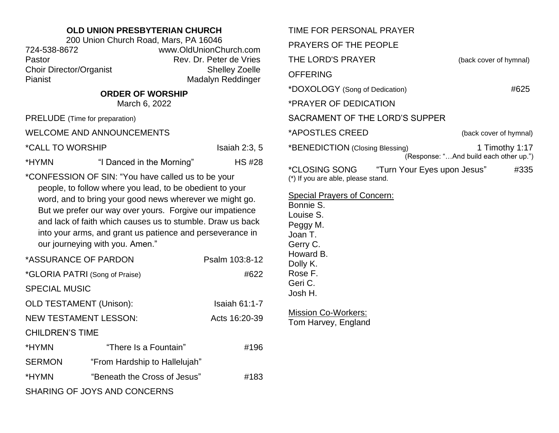## **OLD UNION PRESBYTERIAN CHURCH**

200 Union Church Road, Mars, PA 16046 724-538-8672 www.OldUnionChurch.com Pastor **Pastor** Rev. Dr. Peter de Vries Choir Director/Organist Shelley Zoelle Pianist Madalyn Reddinger

## **ORDER OF WORSHIP**

March 6, 2022

PRELUDE (Time for preparation)

WELCOME AND ANNOUNCEMENTS

\*CALL TO WORSHIP Isaiah 2:3, 5

\*HYMN "I Danced in the Morning" HS #28

\*CONFESSION OF SIN: "You have called us to be your people, to follow where you lead, to be obedient to your word, and to bring your good news wherever we might go. But we prefer our way over yours. Forgive our impatience and lack of faith which causes us to stumble. Draw us back into your arms, and grant us patience and perseverance in our journeying with you. Amen."

| *ASSURANCE OF PARDON           |                               | Psalm 103:8-12  |  |
|--------------------------------|-------------------------------|-----------------|--|
| *GLORIA PATRI (Song of Praise) |                               | #622            |  |
| <b>SPECIAL MUSIC</b>           |                               |                 |  |
| <b>OLD TESTAMENT (Unison):</b> |                               | Isaiah $61:1-7$ |  |
| <b>NEW TESTAMENT LESSON:</b>   |                               | Acts 16:20-39   |  |
| <b>CHILDREN'S TIME</b>         |                               |                 |  |
| *HYMN                          | "There Is a Fountain"         | #196            |  |
| <b>SERMON</b>                  | "From Hardship to Hallelujah" |                 |  |
| *HYMN                          | "Beneath the Cross of Jesus"  | #183            |  |
| SHARING OF JOYS AND CONCERNS   |                               |                 |  |

| TIME FOR PERSONAL PRAYER                            |                                                          |  |  |
|-----------------------------------------------------|----------------------------------------------------------|--|--|
| <b>PRAYERS OF THE PEOPLE</b>                        |                                                          |  |  |
| THE LORD'S PRAYER                                   | (back cover of hymnal)                                   |  |  |
| <b>OFFERING</b>                                     |                                                          |  |  |
| *DOXOLOGY (Song of Dedication)                      | #625                                                     |  |  |
| *PRAYER OF DEDICATION                               |                                                          |  |  |
| SACRAMENT OF THE LORD'S SUPPER                      |                                                          |  |  |
| *APOSTLES CREED                                     | (back cover of hymnal)                                   |  |  |
| *BENEDICTION (Closing Blessing)                     | 1 Timothy 1:17<br>(Response: "And build each other up.") |  |  |
| *CLOSING SONG<br>(*) If you are able, please stand. | "Turn Your Eyes upon Jesus"<br>#335                      |  |  |
| Special Prayers of Concern:                         |                                                          |  |  |

Bonnie S. Louise S. Peggy M. Joan T. Gerry C. Howard B. Dolly K. Rose F. Geri C. Josh H.

Mission Co-Workers: Tom Harvey, England